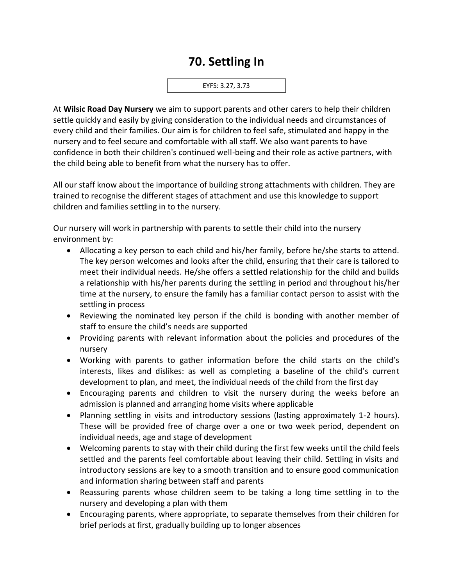## **70. Settling In**

EYFS: 3.27, 3.73

At **Wilsic Road Day Nursery** we aim to support parents and other carers to help their children settle quickly and easily by giving consideration to the individual needs and circumstances of every child and their families. Our aim is for children to feel safe, stimulated and happy in the nursery and to feel secure and comfortable with all staff. We also want parents to have confidence in both their children's continued well-being and their role as active partners, with the child being able to benefit from what the nursery has to offer.

All our staff know about the importance of building strong attachments with children. They are trained to recognise the different stages of attachment and use this knowledge to support children and families settling in to the nursery.

Our nursery will work in partnership with parents to settle their child into the nursery environment by:

- Allocating a key person to each child and his/her family, before he/she starts to attend. The key person welcomes and looks after the child, ensuring that their care is tailored to meet their individual needs. He/she offers a settled relationship for the child and builds a relationship with his/her parents during the settling in period and throughout his/her time at the nursery, to ensure the family has a familiar contact person to assist with the settling in process
- Reviewing the nominated key person if the child is bonding with another member of staff to ensure the child's needs are supported
- Providing parents with relevant information about the policies and procedures of the nursery
- Working with parents to gather information before the child starts on the child's interests, likes and dislikes: as well as completing a baseline of the child's current development to plan, and meet, the individual needs of the child from the first day
- Encouraging parents and children to visit the nursery during the weeks before an admission is planned and arranging home visits where applicable
- Planning settling in visits and introductory sessions (lasting approximately 1-2 hours). These will be provided free of charge over a one or two week period, dependent on individual needs, age and stage of development
- Welcoming parents to stay with their child during the first few weeks until the child feels settled and the parents feel comfortable about leaving their child. Settling in visits and introductory sessions are key to a smooth transition and to ensure good communication and information sharing between staff and parents
- Reassuring parents whose children seem to be taking a long time settling in to the nursery and developing a plan with them
- Encouraging parents, where appropriate, to separate themselves from their children for brief periods at first, gradually building up to longer absences